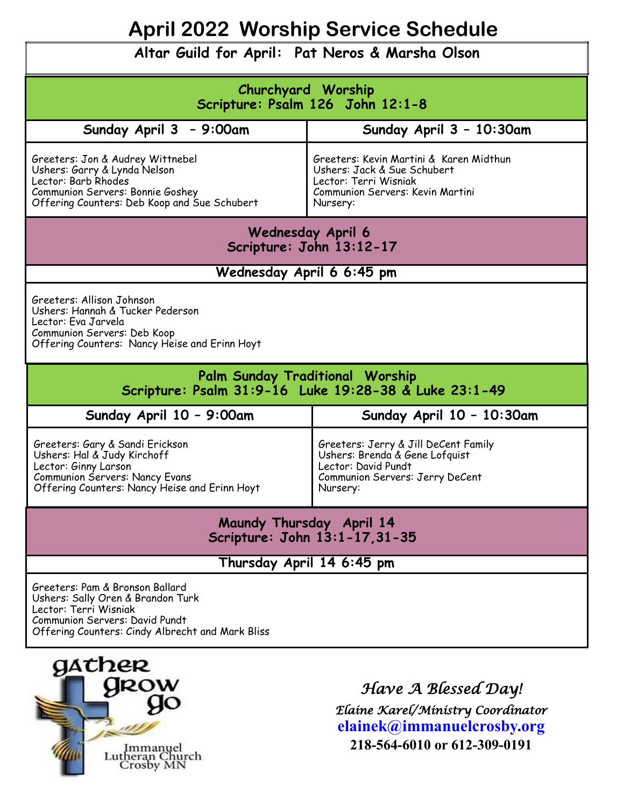## **April 2022 Worship Service Schedule**

## **Altar Guild for April: Pat Neros & Marsha Olson**

| Churchyard Worship<br>Scripture: Psalm 126 John 12:1-8                                                                                                                                     |                                                                                                                                                 |
|--------------------------------------------------------------------------------------------------------------------------------------------------------------------------------------------|-------------------------------------------------------------------------------------------------------------------------------------------------|
| Sunday April 3 - 9:00am                                                                                                                                                                    | Sunday April 3 - 10:30am                                                                                                                        |
| Greeters: Jon & Audrey Wittnebel<br>Ushers: Garry & Lynda Nelson<br>Lector: Barb Rhodes<br>Communion Servers: Bonnie Goshey<br>Offering Counters: Deb Koop and Sue Schubert                | Greeters: Kevin Martini & Karen Midthun<br>Ushers: Jack & Sue Schubert<br>Lector: Terri Wisniak<br>Communion Servers: Kevin Martini<br>Nursery: |
| Wednesday April 6<br>Scripture: John 13:12-17                                                                                                                                              |                                                                                                                                                 |
| Wednesday April 6 6:45 pm                                                                                                                                                                  |                                                                                                                                                 |
| Greeters: Allison Johnson<br>Ushers: Hannah & Tucker Pederson<br>Lector: Eva Jarvela<br>Communion Servers: Deb Koop<br>Offering Counters: Nancy Heise and Erinn Hoyt                       |                                                                                                                                                 |
| <b>Palm Sunday Traditional Worship</b><br>Scripture: Psalm 31:9-16 Luke 19:28-38 & Luke 23:1-49                                                                                            |                                                                                                                                                 |
| Sunday April 10 - 9:00am                                                                                                                                                                   | Sunday April 10 - 10:30am                                                                                                                       |
| Greeters: Gary & Sandi Erickson<br>Ushers: Hal & Judy Kirchoff<br>Lector: Ginny Larson<br><b>Communion Servers: Nancy Evans</b><br>Offering Counters: Nancy Heise and Erinn Hoyt           | Greeters: Jerry & Jill DeCent Family<br>Ushers: Brenda & Gene Lofquist<br>Lector: David Pundt<br>Communion Servers: Jerry DeCent<br>Nursery:    |
| Maundy Thursday April 14<br>Scripture: John 13:1-17, 31-35                                                                                                                                 |                                                                                                                                                 |
| Thursday April 14 6:45 pm                                                                                                                                                                  |                                                                                                                                                 |
| Greeters: Pam & Bronson Ballard<br>Ushers: Sally Oren & Brandon Turk<br>Lector: Terri Wisniak<br><b>Communion Servers: David Pundt</b><br>Offering Counters: Cindy Albrecht and Mark Bliss |                                                                                                                                                 |
| $a$ <sub>t</sub> $b$                                                                                                                                                                       |                                                                                                                                                 |



*Have A Blessed Day! Elaine Karel/Ministry Coordinator*  **elainek@immanuelcrosby.org 218-564-6010 or 612-309-0191**